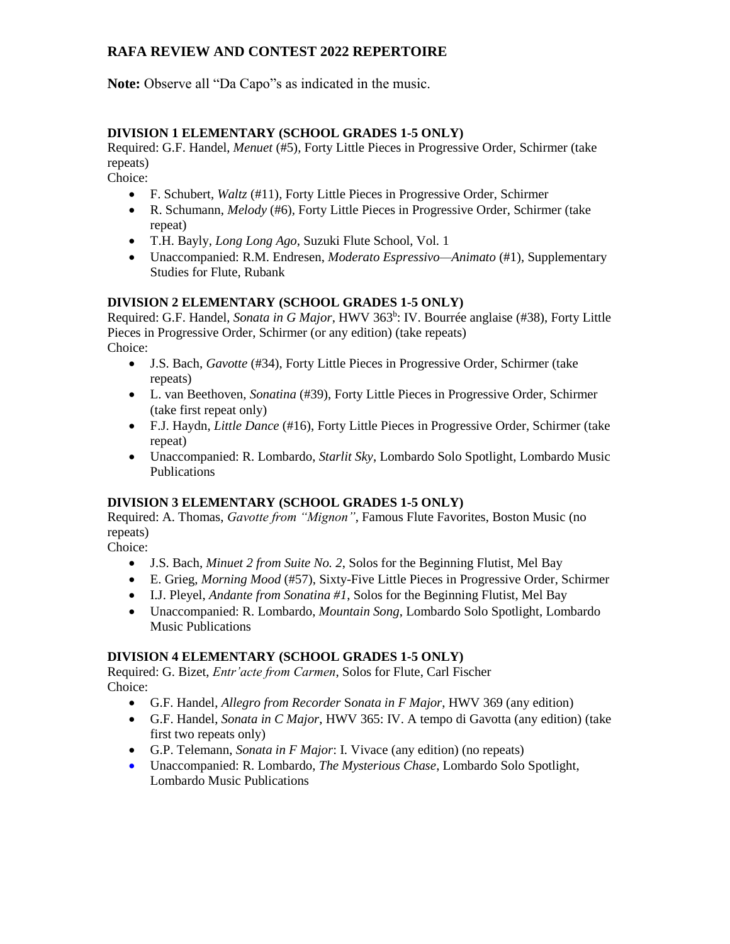**Note:** Observe all "Da Capo"s as indicated in the music.

### **DIVISION 1 ELEMENTARY (SCHOOL GRADES 1-5 ONLY)**

Required: G.F. Handel, *Menuet* (#5)*,* Forty Little Pieces in Progressive Order, Schirmer (take repeats)

Choice:

- F. Schubert, *Waltz* (#11)*,* Forty Little Pieces in Progressive Order, Schirmer
- R. Schumann, *Melody* (#6)*,* Forty Little Pieces in Progressive Order, Schirmer (take repeat)
- T.H. Bayly, *Long Long Ago*, Suzuki Flute School, Vol. 1
- Unaccompanied: R.M. Endresen, *Moderato Espressivo—Animato* (#1)*,* Supplementary Studies for Flute, Rubank

### **DIVISION 2 ELEMENTARY (SCHOOL GRADES 1-5 ONLY)**

Required: G.F. Handel, *Sonata in G Major*, HWV 363<sup>b</sup>: IV. Bourrée anglaise (#38), Forty Little Pieces in Progressive Order, Schirmer (or any edition) (take repeats) Choice:

- J.S. Bach, *Gavotte* (#34), Forty Little Pieces in Progressive Order, Schirmer (take repeats)
- L. van Beethoven, *Sonatina* (#39), Forty Little Pieces in Progressive Order, Schirmer (take first repeat only)
- F.J. Haydn, *Little Dance* (#16), Forty Little Pieces in Progressive Order, Schirmer (take repeat)
- Unaccompanied: R. Lombardo, *Starlit Sky*, Lombardo Solo Spotlight, Lombardo Music Publications

#### **DIVISION 3 ELEMENTARY (SCHOOL GRADES 1-5 ONLY)**

Required: A. Thomas, *Gavotte from "Mignon"*, Famous Flute Favorites, Boston Music (no repeats)

Choice:

- J.S. Bach, *Minuet 2 from Suite No. 2*, Solos for the Beginning Flutist, Mel Bay
- E. Grieg, *Morning Mood* (#57), Sixty-Five Little Pieces in Progressive Order, Schirmer
- I.J. Pleyel, *Andante from Sonatina #1*, Solos for the Beginning Flutist, Mel Bay
- Unaccompanied: R. Lombardo, *Mountain Song*, Lombardo Solo Spotlight, Lombardo Music Publications

#### **DIVISION 4 ELEMENTARY (SCHOOL GRADES 1-5 ONLY)**

Required: G. Bizet, *Entr'acte from Carmen*, Solos for Flute, Carl Fischer Choice:

- G.F. Handel, *Allegro from Recorder* S*onata in F Major*, HWV 369 (any edition)
- G.F. Handel, *Sonata in C Major*, HWV 365: IV. A tempo di Gavotta (any edition) (take first two repeats only)
- G.P. Telemann, *Sonata in F Major*: I. Vivace (any edition) (no repeats)
- Unaccompanied: R. Lombardo, *The Mysterious Chase*, Lombardo Solo Spotlight, Lombardo Music Publications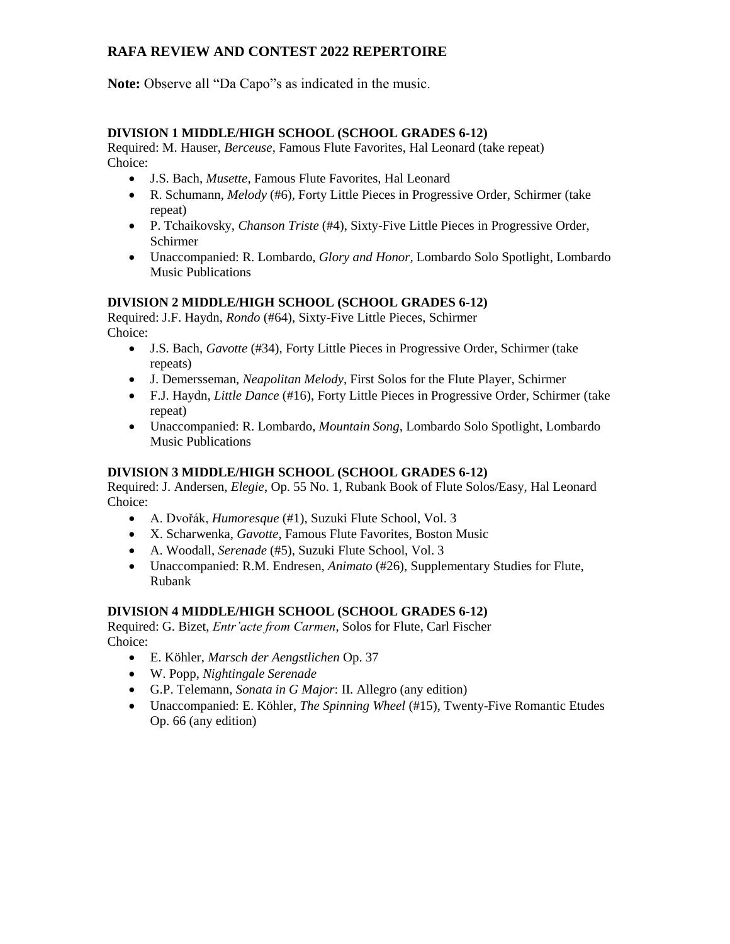**Note:** Observe all "Da Capo"s as indicated in the music.

### **DIVISION 1 MIDDLE/HIGH SCHOOL (SCHOOL GRADES 6-12)**

Required: M. Hauser, *Berceuse*, Famous Flute Favorites, Hal Leonard (take repeat) Choice:

- J.S. Bach, *Musette*, Famous Flute Favorites, Hal Leonard
- R. Schumann, *Melody* (#6)*,* Forty Little Pieces in Progressive Order, Schirmer (take repeat)
- P. Tchaikovsky, *Chanson Triste* (#4), Sixty-Five Little Pieces in Progressive Order, Schirmer
- Unaccompanied: R. Lombardo, *Glory and Honor,* Lombardo Solo Spotlight, Lombardo Music Publications

### **DIVISION 2 MIDDLE/HIGH SCHOOL (SCHOOL GRADES 6-12)**

Required: J.F. Haydn, *Rondo* (#64), Sixty-Five Little Pieces, Schirmer Choice:

- J.S. Bach, *Gavotte* (#34), Forty Little Pieces in Progressive Order, Schirmer (take repeats)
- J. Demersseman, *Neapolitan Melody*, First Solos for the Flute Player, Schirmer
- F.J. Haydn, *Little Dance* (#16), Forty Little Pieces in Progressive Order, Schirmer (take repeat)
- Unaccompanied: R. Lombardo, *Mountain Song*, Lombardo Solo Spotlight, Lombardo Music Publications

#### **DIVISION 3 MIDDLE/HIGH SCHOOL (SCHOOL GRADES 6-12)**

Required: J. Andersen, *Elegie*, Op. 55 No. 1, Rubank Book of Flute Solos/Easy, Hal Leonard Choice:

- A. Dvořák, *Humoresque* (#1), Suzuki Flute School, Vol. 3
- X. Scharwenka, *Gavotte*, Famous Flute Favorites, Boston Music
- A. Woodall, *Serenade* (#5), Suzuki Flute School, Vol. 3
- Unaccompanied: R.M. Endresen, *Animato* (#26), Supplementary Studies for Flute, Rubank

#### **DIVISION 4 MIDDLE/HIGH SCHOOL (SCHOOL GRADES 6-12)**

Required: G. Bizet, *Entr'acte from Carmen*, Solos for Flute, Carl Fischer Choice:

- E. Köhler, *Marsch der Aengstlichen* Op. 37
- W. Popp, *Nightingale Serenade*
- G.P. Telemann, *Sonata in G Major*: II. Allegro (any edition)
- Unaccompanied: E. Köhler, *The Spinning Wheel* (#15), Twenty-Five Romantic Etudes Op. 66 (any edition)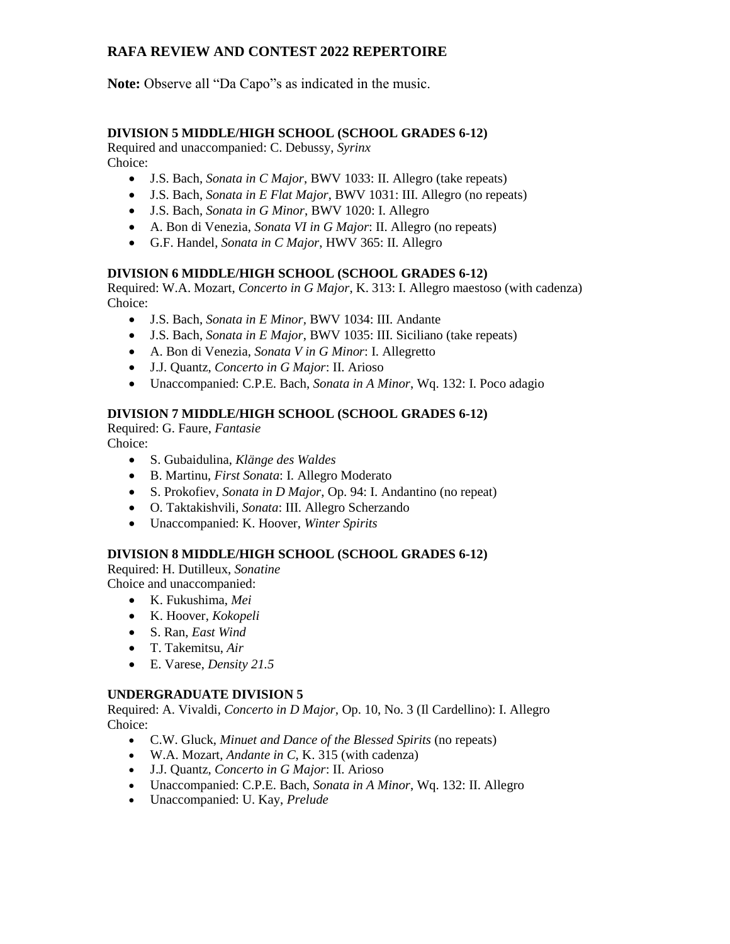**Note:** Observe all "Da Capo"s as indicated in the music.

## **DIVISION 5 MIDDLE/HIGH SCHOOL (SCHOOL GRADES 6-12)**

Required and unaccompanied: C. Debussy, *Syrinx* Choice:

- J.S. Bach, *Sonata in C Major*, BWV 1033: II. Allegro (take repeats)
- J.S. Bach, *Sonata in E Flat Major*, BWV 1031: III. Allegro (no repeats)
- J.S. Bach, *Sonata in G Minor*, BWV 1020: I. Allegro
- A. Bon di Venezia, *Sonata VI in G Major*: II. Allegro (no repeats)
- G.F. Handel, *Sonata in C Major*, HWV 365: II. Allegro

### **DIVISION 6 MIDDLE/HIGH SCHOOL (SCHOOL GRADES 6-12)**

Required: W.A. Mozart, *Concerto in G Major*, K. 313: I. Allegro maestoso (with cadenza) Choice:

- J.S. Bach, *Sonata in E Minor,* BWV 1034: III. Andante
- J.S. Bach, *Sonata in E Major*, BWV 1035: III. Siciliano (take repeats)
- A. Bon di Venezia, *Sonata V in G Minor*: I. Allegretto
- J.J. Quantz, *Concerto in G Major*: II. Arioso
- Unaccompanied: C.P.E. Bach, *Sonata in A Minor*, Wq. 132: I. Poco adagio

### **DIVISION 7 MIDDLE/HIGH SCHOOL (SCHOOL GRADES 6-12)**

Required: G. Faure, *Fantasie*

Choice:

- S. Gubaidulina, *Klänge des Waldes*
- B. Martinu, *First Sonata*: I. Allegro Moderato
- S. Prokofiev, *Sonata in D Major*, Op. 94: I. Andantino (no repeat)
- O. Taktakishvili, *Sonata*: III. Allegro Scherzando
- Unaccompanied: K. Hoover, *Winter Spirits*

## **DIVISION 8 MIDDLE/HIGH SCHOOL (SCHOOL GRADES 6-12)**

Required: H. Dutilleux, *Sonatine* Choice and unaccompanied:

- K. Fukushima, *Mei*
- K. Hoover, *Kokopeli*
- S. Ran, *East Wind*
- T. Takemitsu, *Air*
- E. Varese, *Density 21.5*

#### **UNDERGRADUATE DIVISION 5**

Required: A. Vivaldi, *Concerto in D Major,* Op. 10, No. 3 (Il Cardellino): I. Allegro Choice:

- C.W. Gluck, *Minuet and Dance of the Blessed Spirits* (no repeats)
- W.A. Mozart, *Andante in C*, K. 315 (with cadenza)
- J.J. Quantz, *Concerto in G Major*: II. Arioso
- Unaccompanied: C.P.E. Bach, *Sonata in A Minor*, Wq. 132: II. Allegro
- Unaccompanied: U. Kay, *Prelude*